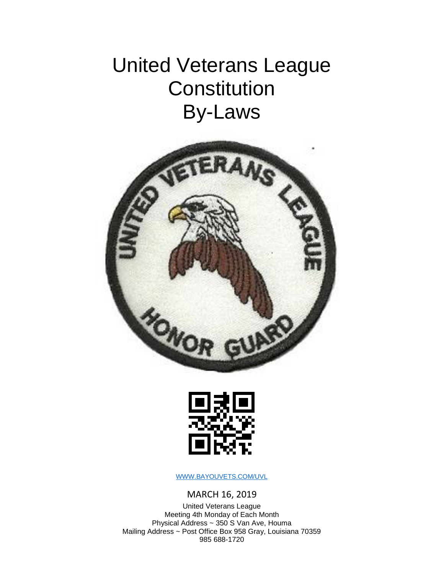## United Veterans League **Constitution** By-Laws





[WWW.BAYOUVETS.COM/UVL](file:///C:/Users/Jack/Desktop/WWW.BAYOUVETS.COM/UVL)

MARCH 16, 2019

United Veterans League Meeting 4th Monday of Each Month Physical Address ~ 350 S Van Ave, Houma Mailing Address ~ Post Office Box 958 Gray, Louisiana 70359 985 688-1720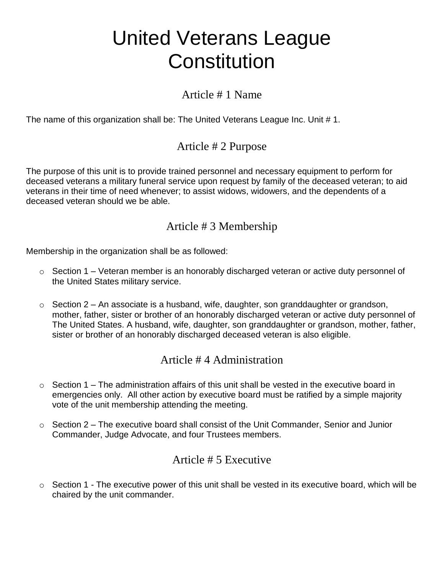## United Veterans League **Constitution**

### Article # 1 Name

The name of this organization shall be: The United Veterans League Inc. Unit #1.

## Article # 2 Purpose

The purpose of this unit is to provide trained personnel and necessary equipment to perform for deceased veterans a military funeral service upon request by family of the deceased veteran; to aid veterans in their time of need whenever; to assist widows, widowers, and the dependents of a deceased veteran should we be able.

## Article # 3 Membership

Membership in the organization shall be as followed:

- $\circ$  Section 1 Veteran member is an honorably discharged veteran or active duty personnel of the United States military service.
- $\circ$  Section 2 An associate is a husband, wife, daughter, son granddaughter or grandson, mother, father, sister or brother of an honorably discharged veteran or active duty personnel of The United States. A husband, wife, daughter, son granddaughter or grandson, mother, father, sister or brother of an honorably discharged deceased veteran is also eligible.

#### Article # 4 Administration

- $\circ$  Section 1 The administration affairs of this unit shall be vested in the executive board in emergencies only. All other action by executive board must be ratified by a simple majority vote of the unit membership attending the meeting.
- $\circ$  Section 2 The executive board shall consist of the Unit Commander, Senior and Junior Commander, Judge Advocate, and four Trustees members.

## Article # 5 Executive

 $\circ$  Section 1 - The executive power of this unit shall be vested in its executive board, which will be chaired by the unit commander.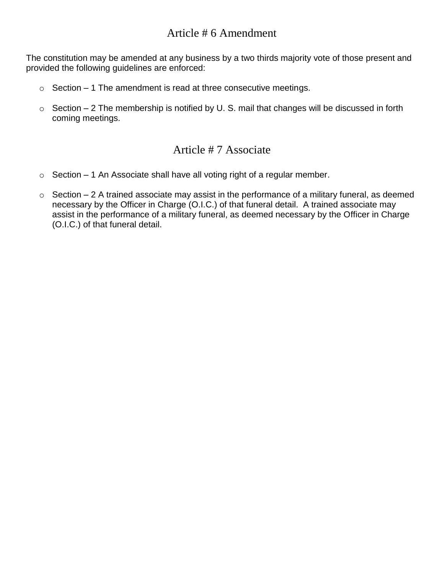### Article # 6 Amendment

The constitution may be amended at any business by a two thirds majority vote of those present and provided the following guidelines are enforced:

- $\circ$  Section 1 The amendment is read at three consecutive meetings.
- $\circ$  Section 2 The membership is notified by U. S. mail that changes will be discussed in forth coming meetings.

#### Article # 7 Associate

- $\circ$  Section 1 An Associate shall have all voting right of a regular member.
- $\circ$  Section 2 A trained associate may assist in the performance of a military funeral, as deemed necessary by the Officer in Charge (O.I.C.) of that funeral detail. A trained associate may assist in the performance of a military funeral, as deemed necessary by the Officer in Charge (O.I.C.) of that funeral detail.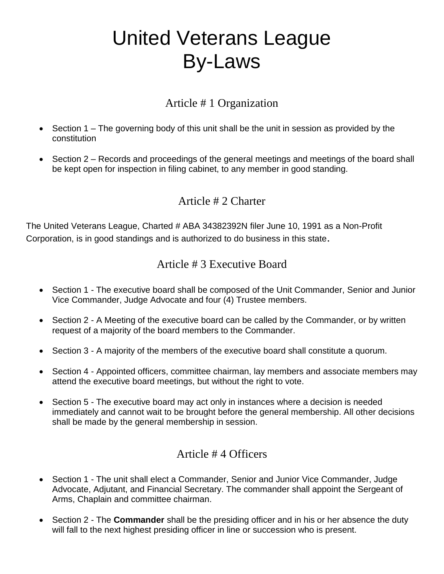# United Veterans League By-Laws

## Article # 1 Organization

- Section 1 The governing body of this unit shall be the unit in session as provided by the constitution
- Section 2 Records and proceedings of the general meetings and meetings of the board shall be kept open for inspection in filing cabinet, to any member in good standing.

## Article # 2 Charter

The United Veterans League, Charted # ABA 34382392N filer June 10, 1991 as a Non-Profit Corporation, is in good standings and is authorized to do business in this state.

## Article # 3 Executive Board

- Section 1 The executive board shall be composed of the Unit Commander, Senior and Junior Vice Commander, Judge Advocate and four (4) Trustee members.
- Section 2 A Meeting of the executive board can be called by the Commander, or by written request of a majority of the board members to the Commander.
- Section 3 A majority of the members of the executive board shall constitute a quorum.
- Section 4 Appointed officers, committee chairman, lay members and associate members may attend the executive board meetings, but without the right to vote.
- Section 5 The executive board may act only in instances where a decision is needed immediately and cannot wait to be brought before the general membership. All other decisions shall be made by the general membership in session.

## Article # 4 Officers

- Section 1 The unit shall elect a Commander, Senior and Junior Vice Commander, Judge Advocate, Adjutant, and Financial Secretary. The commander shall appoint the Sergeant of Arms, Chaplain and committee chairman.
- Section 2 The **Commander** shall be the presiding officer and in his or her absence the duty will fall to the next highest presiding officer in line or succession who is present.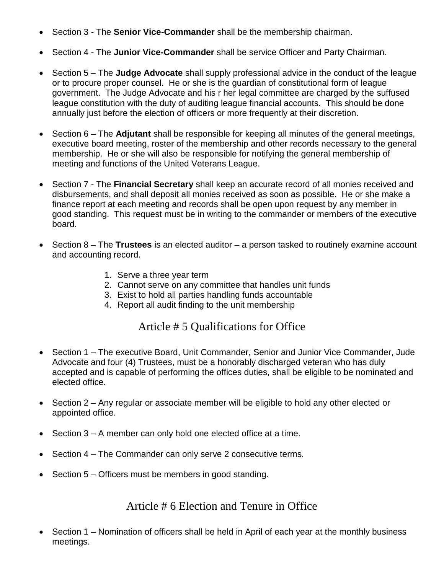- Section 3 The **Senior Vice-Commander** shall be the membership chairman.
- Section 4 The **Junior Vice-Commander** shall be service Officer and Party Chairman.
- Section 5 The **Judge Advocate** shall supply professional advice in the conduct of the league or to procure proper counsel. He or she is the guardian of constitutional form of league government. The Judge Advocate and his r her legal committee are charged by the suffused league constitution with the duty of auditing league financial accounts. This should be done annually just before the election of officers or more frequently at their discretion.
- Section 6 The **Adjutant** shall be responsible for keeping all minutes of the general meetings, executive board meeting, roster of the membership and other records necessary to the general membership. He or she will also be responsible for notifying the general membership of meeting and functions of the United Veterans League.
- Section 7 The **Financial Secretary** shall keep an accurate record of all monies received and disbursements, and shall deposit all monies received as soon as possible. He or she make a finance report at each meeting and records shall be open upon request by any member in good standing. This request must be in writing to the commander or members of the executive board.
- Section 8 The **Trustees** is an elected auditor a person tasked to routinely examine account and accounting record.
	- 1. Serve a three year term
	- 2. Cannot serve on any committee that handles unit funds
	- 3. Exist to hold all parties handling funds accountable
	- 4. Report all audit finding to the unit membership

#### Article # 5 Qualifications for Office

- Section 1 The executive Board, Unit Commander, Senior and Junior Vice Commander, Jude Advocate and four (4) Trustees, must be a honorably discharged veteran who has duly accepted and is capable of performing the offices duties, shall be eligible to be nominated and elected office.
- Section 2 Any regular or associate member will be eligible to hold any other elected or appointed office.
- Section 3 A member can only hold one elected office at a time.
- Section 4 The Commander can only serve 2 consecutive terms.
- Section 5 Officers must be members in good standing.

#### Article # 6 Election and Tenure in Office

• Section 1 – Nomination of officers shall be held in April of each year at the monthly business meetings.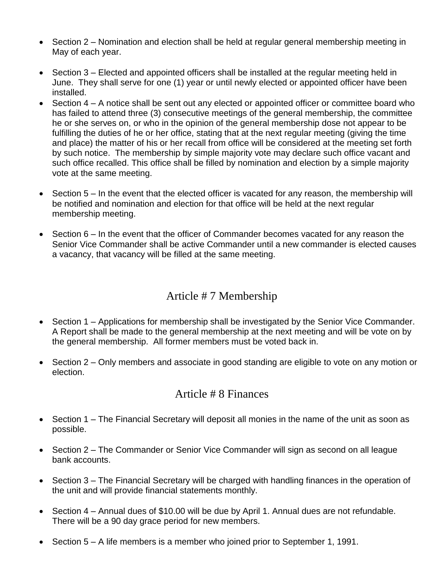- Section 2 Nomination and election shall be held at regular general membership meeting in May of each year.
- Section 3 Elected and appointed officers shall be installed at the regular meeting held in June. They shall serve for one (1) year or until newly elected or appointed officer have been installed.
- Section 4 A notice shall be sent out any elected or appointed officer or committee board who has failed to attend three (3) consecutive meetings of the general membership, the committee he or she serves on, or who in the opinion of the general membership dose not appear to be fulfilling the duties of he or her office, stating that at the next regular meeting (giving the time and place) the matter of his or her recall from office will be considered at the meeting set forth by such notice. The membership by simple majority vote may declare such office vacant and such office recalled. This office shall be filled by nomination and election by a simple majority vote at the same meeting.
- Section 5 In the event that the elected officer is vacated for any reason, the membership will be notified and nomination and election for that office will be held at the next regular membership meeting.
- Section 6 In the event that the officer of Commander becomes vacated for any reason the Senior Vice Commander shall be active Commander until a new commander is elected causes a vacancy, that vacancy will be filled at the same meeting.

## Article # 7 Membership

- Section 1 Applications for membership shall be investigated by the Senior Vice Commander. A Report shall be made to the general membership at the next meeting and will be vote on by the general membership. All former members must be voted back in.
- Section 2 Only members and associate in good standing are eligible to vote on any motion or election.

#### Article # 8 Finances

- Section 1 The Financial Secretary will deposit all monies in the name of the unit as soon as possible.
- Section 2 The Commander or Senior Vice Commander will sign as second on all league bank accounts.
- Section 3 The Financial Secretary will be charged with handling finances in the operation of the unit and will provide financial statements monthly.
- Section 4 Annual dues of \$10.00 will be due by April 1. Annual dues are not refundable. There will be a 90 day grace period for new members.
- Section 5 A life members is a member who joined prior to September 1, 1991.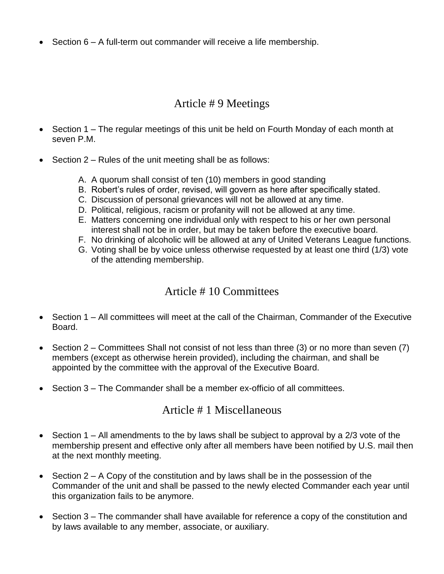• Section 6 – A full-term out commander will receive a life membership.

#### Article # 9 Meetings

- Section 1 The regular meetings of this unit be held on Fourth Monday of each month at seven P.M.
- Section 2 Rules of the unit meeting shall be as follows:
	- A. A quorum shall consist of ten (10) members in good standing
	- B. Robert's rules of order, revised, will govern as here after specifically stated.
	- C. Discussion of personal grievances will not be allowed at any time.
	- D. Political, religious, racism or profanity will not be allowed at any time.
	- E. Matters concerning one individual only with respect to his or her own personal interest shall not be in order, but may be taken before the executive board.
	- F. No drinking of alcoholic will be allowed at any of United Veterans League functions.
	- G. Voting shall be by voice unless otherwise requested by at least one third (1/3) vote of the attending membership.

#### Article # 10 Committees

- Section 1 All committees will meet at the call of the Chairman, Commander of the Executive Board.
- Section 2 Committees Shall not consist of not less than three (3) or no more than seven (7) members (except as otherwise herein provided), including the chairman, and shall be appointed by the committee with the approval of the Executive Board.
- Section 3 The Commander shall be a member ex-officio of all committees.

#### Article # 1 Miscellaneous

- Section 1 All amendments to the by laws shall be subject to approval by a 2/3 vote of the membership present and effective only after all members have been notified by U.S. mail then at the next monthly meeting.
- Section  $2 A$  Copy of the constitution and by laws shall be in the possession of the Commander of the unit and shall be passed to the newly elected Commander each year until this organization fails to be anymore.
- Section 3 The commander shall have available for reference a copy of the constitution and by laws available to any member, associate, or auxiliary.